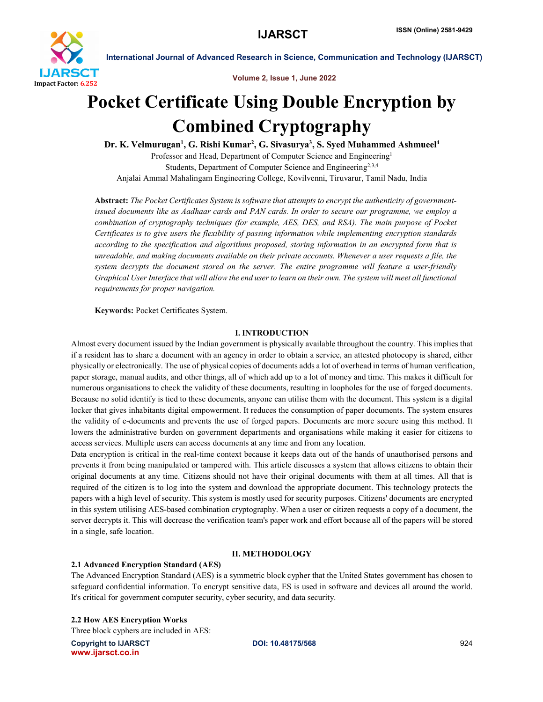

Volume 2, Issue 1, June 2022

# Pocket Certificate Using Double Encryption by Combined Cryptography

Dr. K. Velmurugan<sup>1</sup>, G. Rishi Kumar<sup>2</sup>, G. Sivasurya<sup>3</sup>, S. Syed Muhammed Ashmueel<sup>4</sup> Professor and Head, Department of Computer Science and Engineering<sup>1</sup> Students, Department of Computer Science and Engineering<sup>2,3,4</sup> Anjalai Ammal Mahalingam Engineering College, Kovilvenni, Tiruvarur, Tamil Nadu, India

Abstract: *The Pocket Certificates System is software that attempts to encrypt the authenticity of governmentissued documents like as Aadhaar cards and PAN cards. In order to secure our programme, we employ a combination of cryptography techniques (for example, AES, DES, and RSA). The main purpose of Pocket Certificates is to give users the flexibility of passing information while implementing encryption standards according to the specification and algorithms proposed, storing information in an encrypted form that is unreadable, and making documents available on their private accounts. Whenever a user requests a file, the system decrypts the document stored on the server. The entire programme will feature a user-friendly Graphical User Interface that will allow the end user to learn on their own. The system will meet all functional requirements for proper navigation.*

Keywords: Pocket Certificates System.

# I. INTRODUCTION

Almost every document issued by the Indian government is physically available throughout the country. This implies that if a resident has to share a document with an agency in order to obtain a service, an attested photocopy is shared, either physically or electronically. The use of physical copies of documents adds a lot of overhead in terms of human verification, paper storage, manual audits, and other things, all of which add up to a lot of money and time. This makes it difficult for numerous organisations to check the validity of these documents, resulting in loopholes for the use of forged documents. Because no solid identify is tied to these documents, anyone can utilise them with the document. This system is a digital locker that gives inhabitants digital empowerment. It reduces the consumption of paper documents. The system ensures the validity of e-documents and prevents the use of forged papers. Documents are more secure using this method. It lowers the administrative burden on government departments and organisations while making it easier for citizens to access services. Multiple users can access documents at any time and from any location.

Data encryption is critical in the real-time context because it keeps data out of the hands of unauthorised persons and prevents it from being manipulated or tampered with. This article discusses a system that allows citizens to obtain their original documents at any time. Citizens should not have their original documents with them at all times. All that is required of the citizen is to log into the system and download the appropriate document. This technology protects the papers with a high level of security. This system is mostly used for security purposes. Citizens' documents are encrypted in this system utilising AES-based combination cryptography. When a user or citizen requests a copy of a document, the server decrypts it. This will decrease the verification team's paper work and effort because all of the papers will be stored in a single, safe location.

# II. METHODOLOGY

# 2.1 Advanced Encryption Standard (AES)

The Advanced Encryption Standard (AES) is a symmetric block cypher that the United States government has chosen to safeguard confidential information. To encrypt sensitive data, ES is used in software and devices all around the world. It's critical for government computer security, cyber security, and data security.

2.2 How AES Encryption Works

Three block cyphers are included in AES:

Copyright to IJARSCT **DOI: 10.48175/568** 924 www.ijarsct.co.in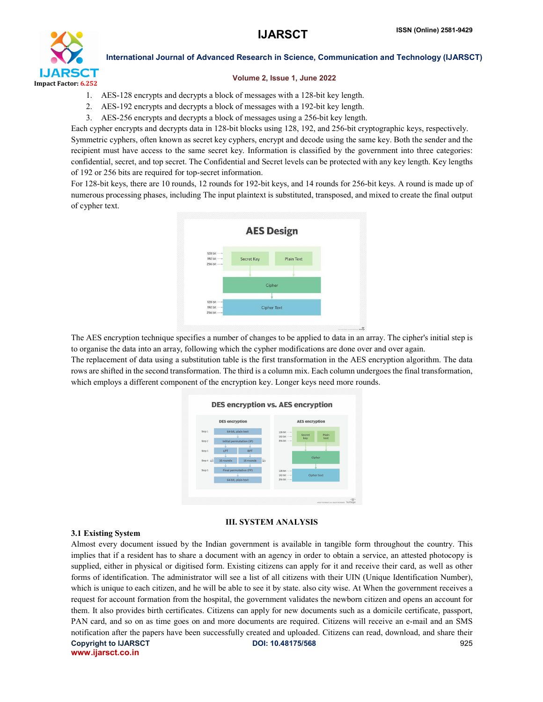

#### Volume 2, Issue 1, June 2022

- 1. AES-128 encrypts and decrypts a block of messages with a 128-bit key length.
- 2. AES-192 encrypts and decrypts a block of messages with a 192-bit key length.
- 3. AES-256 encrypts and decrypts a block of messages using a 256-bit key length.

Each cypher encrypts and decrypts data in 128-bit blocks using 128, 192, and 256-bit cryptographic keys, respectively. Symmetric cyphers, often known as secret key cyphers, encrypt and decode using the same key. Both the sender and the recipient must have access to the same secret key. Information is classified by the government into three categories: confidential, secret, and top secret. The Confidential and Secret levels can be protected with any key length. Key lengths of 192 or 256 bits are required for top-secret information.

For 128-bit keys, there are 10 rounds, 12 rounds for 192-bit keys, and 14 rounds for 256-bit keys. A round is made up of numerous processing phases, including The input plaintext is substituted, transposed, and mixed to create the final output of cypher text.



The AES encryption technique specifies a number of changes to be applied to data in an array. The cipher's initial step is to organise the data into an array, following which the cypher modifications are done over and over again.

The replacement of data using a substitution table is the first transformation in the AES encryption algorithm. The data rows are shifted in the second transformation. The third is a column mix. Each column undergoes the final transformation, which employs a different component of the encryption key. Longer keys need more rounds.

#### **DES encryption vs. AES encryption**



# III. SYSTEM ANALYSIS

# 3.1 Existing System

Copyright to IJARSCT **DOI: 10.48175/568** 925 www.ijarsct.co.in Almost every document issued by the Indian government is available in tangible form throughout the country. This implies that if a resident has to share a document with an agency in order to obtain a service, an attested photocopy is supplied, either in physical or digitised form. Existing citizens can apply for it and receive their card, as well as other forms of identification. The administrator will see a list of all citizens with their UIN (Unique Identification Number), which is unique to each citizen, and he will be able to see it by state. also city wise. At When the government receives a request for account formation from the hospital, the government validates the newborn citizen and opens an account for them. It also provides birth certificates. Citizens can apply for new documents such as a domicile certificate, passport, PAN card, and so on as time goes on and more documents are required. Citizens will receive an e-mail and an SMS notification after the papers have been successfully created and uploaded. Citizens can read, download, and share their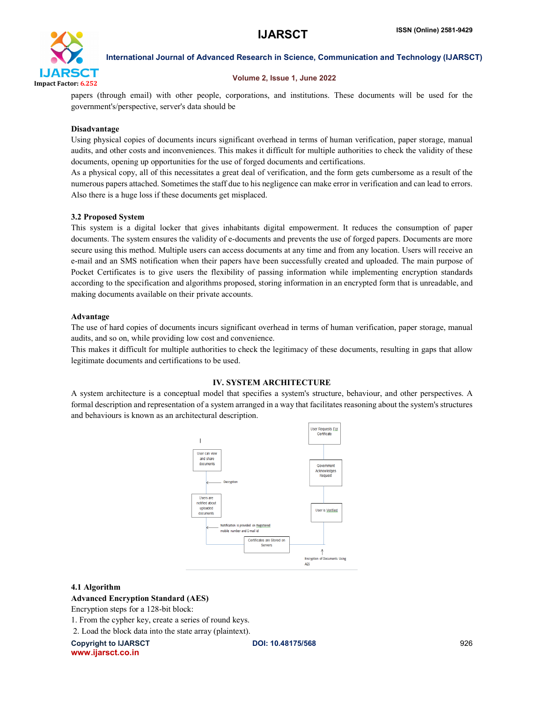

# Volume 2, Issue 1, June 2022

papers (through email) with other people, corporations, and institutions. These documents will be used for the government's/perspective, server's data should be

# Disadvantage

Using physical copies of documents incurs significant overhead in terms of human verification, paper storage, manual audits, and other costs and inconveniences. This makes it difficult for multiple authorities to check the validity of these documents, opening up opportunities for the use of forged documents and certifications.

As a physical copy, all of this necessitates a great deal of verification, and the form gets cumbersome as a result of the numerous papers attached. Sometimes the staff due to his negligence can make error in verification and can lead to errors. Also there is a huge loss if these documents get misplaced.

# 3.2 Proposed System

This system is a digital locker that gives inhabitants digital empowerment. It reduces the consumption of paper documents. The system ensures the validity of e-documents and prevents the use of forged papers. Documents are more secure using this method. Multiple users can access documents at any time and from any location. Users will receive an e-mail and an SMS notification when their papers have been successfully created and uploaded. The main purpose of Pocket Certificates is to give users the flexibility of passing information while implementing encryption standards according to the specification and algorithms proposed, storing information in an encrypted form that is unreadable, and making documents available on their private accounts.

# Advantage

The use of hard copies of documents incurs significant overhead in terms of human verification, paper storage, manual audits, and so on, while providing low cost and convenience.

This makes it difficult for multiple authorities to check the legitimacy of these documents, resulting in gaps that allow legitimate documents and certifications to be used.

# IV. SYSTEM ARCHITECTURE

A system architecture is a conceptual model that specifies a system's structure, behaviour, and other perspectives. A formal description and representation of a system arranged in a way that facilitates reasoning about the system's structures and behaviours is known as an architectural description.



# 4.1 Algorithm

# Advanced Encryption Standard (AES)

Encryption steps for a 128-bit block:

1. From the cypher key, create a series of round keys.

2. Load the block data into the state array (plaintext).

Copyright to IJARSCT **DOI: 10.48175/568** 926 www.ijarsct.co.in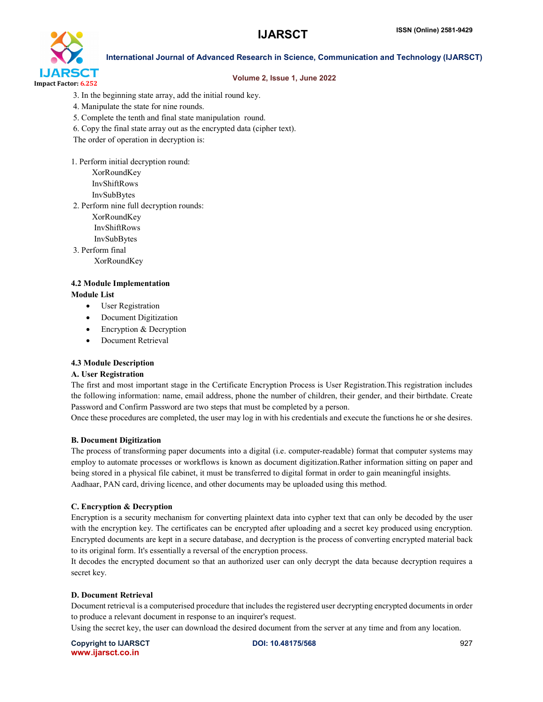

# Volume 2, Issue 1, June 2022

- 3. In the beginning state array, add the initial round key.
- 4. Manipulate the state for nine rounds.
- 5. Complete the tenth and final state manipulation round.
- 6. Copy the final state array out as the encrypted data (cipher text).
- The order of operation in decryption is:
- 1. Perform initial decryption round:
	- XorRoundKey InvShiftRows InvSubBytes
- 2. Perform nine full decryption rounds:
	- XorRoundKey
	- InvShiftRows
	- InvSubBytes
- 3. Perform final
	- XorRoundKey

#### 4.2 Module Implementation Module List

- User Registration
- Document Digitization
- Encryption & Decryption
- Document Retrieval

# 4.3 Module Description

# A. User Registration

The first and most important stage in the Certificate Encryption Process is User Registration.This registration includes the following information: name, email address, phone the number of children, their gender, and their birthdate. Create Password and Confirm Password are two steps that must be completed by a person.

Once these procedures are completed, the user may log in with his credentials and execute the functions he or she desires.

# B. Document Digitization

The process of transforming paper documents into a digital (i.e. computer-readable) format that computer systems may employ to automate processes or workflows is known as document digitization.Rather information sitting on paper and being stored in a physical file cabinet, it must be transferred to digital format in order to gain meaningful insights. Aadhaar, PAN card, driving licence, and other documents may be uploaded using this method.

# C. Encryption & Decryption

Encryption is a security mechanism for converting plaintext data into cypher text that can only be decoded by the user with the encryption key. The certificates can be encrypted after uploading and a secret key produced using encryption. Encrypted documents are kept in a secure database, and decryption is the process of converting encrypted material back to its original form. It's essentially a reversal of the encryption process.

It decodes the encrypted document so that an authorized user can only decrypt the data because decryption requires a secret key.

# D. Document Retrieval

Document retrieval is a computerised procedure that includes the registered user decrypting encrypted documents in order to produce a relevant document in response to an inquirer's request.

Using the secret key, the user can download the desired document from the server at any time and from any location.

Copyright to IJARSCT **DOI: 10.48175/568** 927 www.ijarsct.co.in